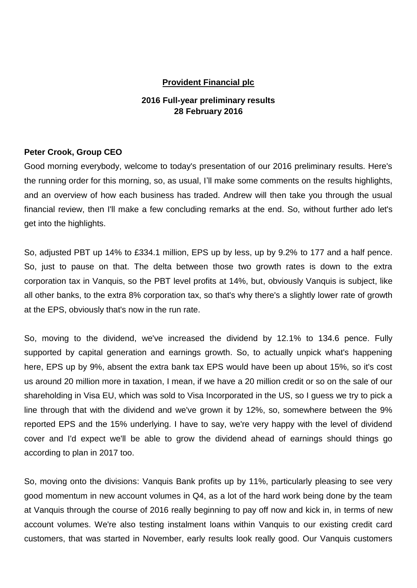## **Provident Financial plc**

# **2016 Full-year preliminary results 28 February 2016**

## **Peter Crook, Group CEO**

Good morning everybody, welcome to today's presentation of our 2016 preliminary results. Here's the running order for this morning, so, as usual, I'll make some comments on the results highlights, and an overview of how each business has traded. Andrew will then take you through the usual financial review, then I'll make a few concluding remarks at the end. So, without further ado let's get into the highlights.

So, adjusted PBT up 14% to £334.1 million, EPS up by less, up by 9.2% to 177 and a half pence. So, just to pause on that. The delta between those two growth rates is down to the extra corporation tax in Vanquis, so the PBT level profits at 14%, but, obviously Vanquis is subject, like all other banks, to the extra 8% corporation tax, so that's why there's a slightly lower rate of growth at the EPS, obviously that's now in the run rate.

So, moving to the dividend, we've increased the dividend by 12.1% to 134.6 pence. Fully supported by capital generation and earnings growth. So, to actually unpick what's happening here, EPS up by 9%, absent the extra bank tax EPS would have been up about 15%, so it's cost us around 20 million more in taxation, I mean, if we have a 20 million credit or so on the sale of our shareholding in Visa EU, which was sold to Visa Incorporated in the US, so I guess we try to pick a line through that with the dividend and we've grown it by 12%, so, somewhere between the 9% reported EPS and the 15% underlying. I have to say, we're very happy with the level of dividend cover and I'd expect we'll be able to grow the dividend ahead of earnings should things go according to plan in 2017 too.

So, moving onto the divisions: Vanquis Bank profits up by 11%, particularly pleasing to see very good momentum in new account volumes in Q4, as a lot of the hard work being done by the team at Vanquis through the course of 2016 really beginning to pay off now and kick in, in terms of new account volumes. We're also testing instalment loans within Vanquis to our existing credit card customers, that was started in November, early results look really good. Our Vanquis customers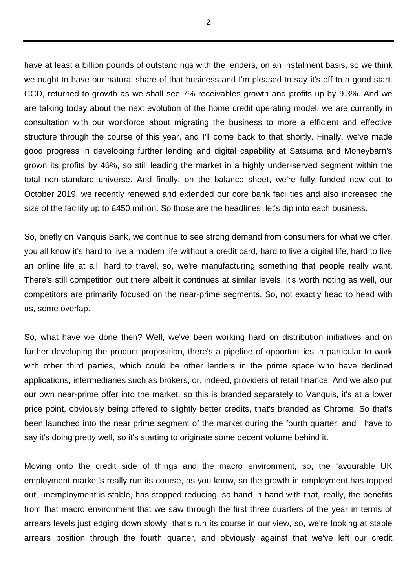have at least a billion pounds of outstandings with the lenders, on an instalment basis, so we think we ought to have our natural share of that business and I'm pleased to say it's off to a good start. CCD, returned to growth as we shall see 7% receivables growth and profits up by 9.3%. And we are talking today about the next evolution of the home credit operating model, we are currently in consultation with our workforce about migrating the business to more a efficient and effective structure through the course of this year, and I'll come back to that shortly. Finally, we've made good progress in developing further lending and digital capability at Satsuma and Moneybarn's grown its profits by 46%, so still leading the market in a highly under-served segment within the total non-standard universe. And finally, on the balance sheet, we're fully funded now out to October 2019, we recently renewed and extended our core bank facilities and also increased the size of the facility up to £450 million. So those are the headlines, let's dip into each business.

So, briefly on Vanquis Bank, we continue to see strong demand from consumers for what we offer, you all know it's hard to live a modern life without a credit card, hard to live a digital life, hard to live an online life at all, hard to travel, so, we're manufacturing something that people really want. There's still competition out there albeit it continues at similar levels, it's worth noting as well, our competitors are primarily focused on the near-prime segments. So, not exactly head to head with us, some overlap.

So, what have we done then? Well, we've been working hard on distribution initiatives and on further developing the product proposition, there's a pipeline of opportunities in particular to work with other third parties, which could be other lenders in the prime space who have declined applications, intermediaries such as brokers, or, indeed, providers of retail finance. And we also put our own near-prime offer into the market, so this is branded separately to Vanquis, it's at a lower price point, obviously being offered to slightly better credits, that's branded as Chrome. So that's been launched into the near prime segment of the market during the fourth quarter, and I have to say it's doing pretty well, so it's starting to originate some decent volume behind it.

Moving onto the credit side of things and the macro environment, so, the favourable UK employment market's really run its course, as you know, so the growth in employment has topped out, unemployment is stable, has stopped reducing, so hand in hand with that, really, the benefits from that macro environment that we saw through the first three quarters of the year in terms of arrears levels just edging down slowly, that's run its course in our view, so, we're looking at stable arrears position through the fourth quarter, and obviously against that we've left our credit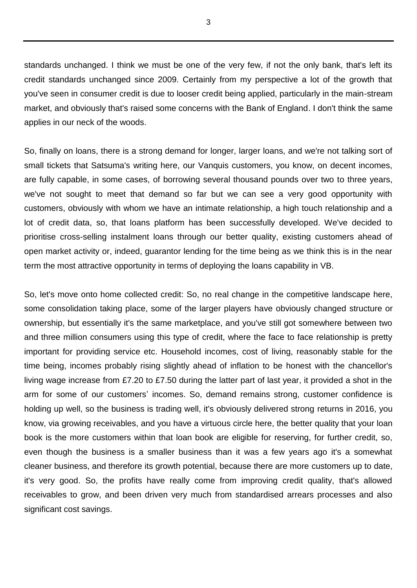standards unchanged. I think we must be one of the very few, if not the only bank, that's left its credit standards unchanged since 2009. Certainly from my perspective a lot of the growth that you've seen in consumer credit is due to looser credit being applied, particularly in the main-stream market, and obviously that's raised some concerns with the Bank of England. I don't think the same applies in our neck of the woods.

So, finally on loans, there is a strong demand for longer, larger loans, and we're not talking sort of small tickets that Satsuma's writing here, our Vanquis customers, you know, on decent incomes, are fully capable, in some cases, of borrowing several thousand pounds over two to three years, we've not sought to meet that demand so far but we can see a very good opportunity with customers, obviously with whom we have an intimate relationship, a high touch relationship and a lot of credit data, so, that loans platform has been successfully developed. We've decided to prioritise cross-selling instalment loans through our better quality, existing customers ahead of open market activity or, indeed, guarantor lending for the time being as we think this is in the near term the most attractive opportunity in terms of deploying the loans capability in VB.

So, let's move onto home collected credit: So, no real change in the competitive landscape here, some consolidation taking place, some of the larger players have obviously changed structure or ownership, but essentially it's the same marketplace, and you've still got somewhere between two and three million consumers using this type of credit, where the face to face relationship is pretty important for providing service etc. Household incomes, cost of living, reasonably stable for the time being, incomes probably rising slightly ahead of inflation to be honest with the chancellor's living wage increase from £7.20 to £7.50 during the latter part of last year, it provided a shot in the arm for some of our customers' incomes. So, demand remains strong, customer confidence is holding up well, so the business is trading well, it's obviously delivered strong returns in 2016, you know, via growing receivables, and you have a virtuous circle here, the better quality that your loan book is the more customers within that loan book are eligible for reserving, for further credit, so, even though the business is a smaller business than it was a few years ago it's a somewhat cleaner business, and therefore its growth potential, because there are more customers up to date, it's very good. So, the profits have really come from improving credit quality, that's allowed receivables to grow, and been driven very much from standardised arrears processes and also significant cost savings.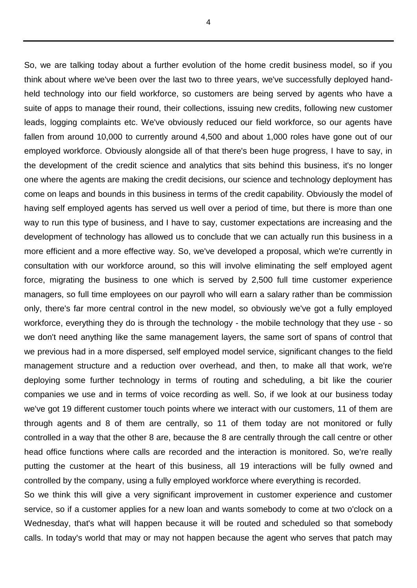So, we are talking today about a further evolution of the home credit business model, so if you think about where we've been over the last two to three years, we've successfully deployed handheld technology into our field workforce, so customers are being served by agents who have a suite of apps to manage their round, their collections, issuing new credits, following new customer leads, logging complaints etc. We've obviously reduced our field workforce, so our agents have fallen from around 10,000 to currently around 4,500 and about 1,000 roles have gone out of our employed workforce. Obviously alongside all of that there's been huge progress, I have to say, in the development of the credit science and analytics that sits behind this business, it's no longer one where the agents are making the credit decisions, our science and technology deployment has come on leaps and bounds in this business in terms of the credit capability. Obviously the model of having self employed agents has served us well over a period of time, but there is more than one way to run this type of business, and I have to say, customer expectations are increasing and the development of technology has allowed us to conclude that we can actually run this business in a more efficient and a more effective way. So, we've developed a proposal, which we're currently in consultation with our workforce around, so this will involve eliminating the self employed agent force, migrating the business to one which is served by 2,500 full time customer experience managers, so full time employees on our payroll who will earn a salary rather than be commission only, there's far more central control in the new model, so obviously we've got a fully employed workforce, everything they do is through the technology - the mobile technology that they use - so we don't need anything like the same management layers, the same sort of spans of control that we previous had in a more dispersed, self employed model service, significant changes to the field management structure and a reduction over overhead, and then, to make all that work, we're deploying some further technology in terms of routing and scheduling, a bit like the courier companies we use and in terms of voice recording as well. So, if we look at our business today we've got 19 different customer touch points where we interact with our customers, 11 of them are through agents and 8 of them are centrally, so 11 of them today are not monitored or fully controlled in a way that the other 8 are, because the 8 are centrally through the call centre or other head office functions where calls are recorded and the interaction is monitored. So, we're really putting the customer at the heart of this business, all 19 interactions will be fully owned and controlled by the company, using a fully employed workforce where everything is recorded.

So we think this will give a very significant improvement in customer experience and customer service, so if a customer applies for a new loan and wants somebody to come at two o'clock on a Wednesday, that's what will happen because it will be routed and scheduled so that somebody calls. In today's world that may or may not happen because the agent who serves that patch may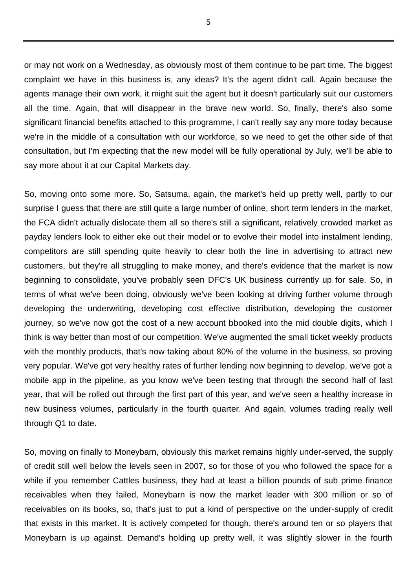or may not work on a Wednesday, as obviously most of them continue to be part time. The biggest complaint we have in this business is, any ideas? It's the agent didn't call. Again because the agents manage their own work, it might suit the agent but it doesn't particularly suit our customers all the time. Again, that will disappear in the brave new world. So, finally, there's also some significant financial benefits attached to this programme, I can't really say any more today because we're in the middle of a consultation with our workforce, so we need to get the other side of that consultation, but I'm expecting that the new model will be fully operational by July, we'll be able to say more about it at our Capital Markets day.

So, moving onto some more. So, Satsuma, again, the market's held up pretty well, partly to our surprise I guess that there are still quite a large number of online, short term lenders in the market, the FCA didn't actually dislocate them all so there's still a significant, relatively crowded market as payday lenders look to either eke out their model or to evolve their model into instalment lending, competitors are still spending quite heavily to clear both the line in advertising to attract new customers, but they're all struggling to make money, and there's evidence that the market is now beginning to consolidate, you've probably seen DFC's UK business currently up for sale. So, in terms of what we've been doing, obviously we've been looking at driving further volume through developing the underwriting, developing cost effective distribution, developing the customer journey, so we've now got the cost of a new account bbooked into the mid double digits, which I think is way better than most of our competition. We've augmented the small ticket weekly products with the monthly products, that's now taking about 80% of the volume in the business, so proving very popular. We've got very healthy rates of further lending now beginning to develop, we've got a mobile app in the pipeline, as you know we've been testing that through the second half of last year, that will be rolled out through the first part of this year, and we've seen a healthy increase in new business volumes, particularly in the fourth quarter. And again, volumes trading really well through Q1 to date.

So, moving on finally to Moneybarn, obviously this market remains highly under-served, the supply of credit still well below the levels seen in 2007, so for those of you who followed the space for a while if you remember Cattles business, they had at least a billion pounds of sub prime finance receivables when they failed, Moneybarn is now the market leader with 300 million or so of receivables on its books, so, that's just to put a kind of perspective on the under-supply of credit that exists in this market. It is actively competed for though, there's around ten or so players that Moneybarn is up against. Demand's holding up pretty well, it was slightly slower in the fourth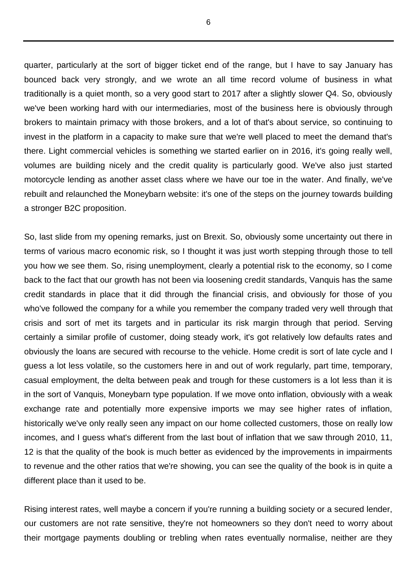quarter, particularly at the sort of bigger ticket end of the range, but I have to say January has bounced back very strongly, and we wrote an all time record volume of business in what traditionally is a quiet month, so a very good start to 2017 after a slightly slower Q4. So, obviously we've been working hard with our intermediaries, most of the business here is obviously through brokers to maintain primacy with those brokers, and a lot of that's about service, so continuing to invest in the platform in a capacity to make sure that we're well placed to meet the demand that's there. Light commercial vehicles is something we started earlier on in 2016, it's going really well, volumes are building nicely and the credit quality is particularly good. We've also just started motorcycle lending as another asset class where we have our toe in the water. And finally, we've rebuilt and relaunched the Moneybarn website: it's one of the steps on the journey towards building a stronger B2C proposition.

So, last slide from my opening remarks, just on Brexit. So, obviously some uncertainty out there in terms of various macro economic risk, so I thought it was just worth stepping through those to tell you how we see them. So, rising unemployment, clearly a potential risk to the economy, so I come back to the fact that our growth has not been via loosening credit standards, Vanquis has the same credit standards in place that it did through the financial crisis, and obviously for those of you who've followed the company for a while you remember the company traded very well through that crisis and sort of met its targets and in particular its risk margin through that period. Serving certainly a similar profile of customer, doing steady work, it's got relatively low defaults rates and obviously the loans are secured with recourse to the vehicle. Home credit is sort of late cycle and I guess a lot less volatile, so the customers here in and out of work regularly, part time, temporary, casual employment, the delta between peak and trough for these customers is a lot less than it is in the sort of Vanquis, Moneybarn type population. If we move onto inflation, obviously with a weak exchange rate and potentially more expensive imports we may see higher rates of inflation, historically we've only really seen any impact on our home collected customers, those on really low incomes, and I guess what's different from the last bout of inflation that we saw through 2010, 11, 12 is that the quality of the book is much better as evidenced by the improvements in impairments to revenue and the other ratios that we're showing, you can see the quality of the book is in quite a different place than it used to be.

Rising interest rates, well maybe a concern if you're running a building society or a secured lender, our customers are not rate sensitive, they're not homeowners so they don't need to worry about their mortgage payments doubling or trebling when rates eventually normalise, neither are they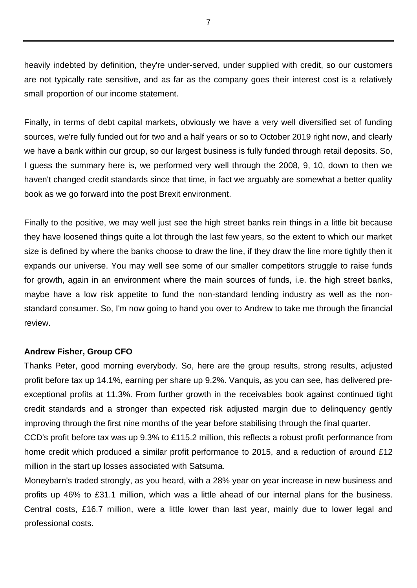heavily indebted by definition, they're under-served, under supplied with credit, so our customers are not typically rate sensitive, and as far as the company goes their interest cost is a relatively small proportion of our income statement.

Finally, in terms of debt capital markets, obviously we have a very well diversified set of funding sources, we're fully funded out for two and a half years or so to October 2019 right now, and clearly we have a bank within our group, so our largest business is fully funded through retail deposits. So, I guess the summary here is, we performed very well through the 2008, 9, 10, down to then we haven't changed credit standards since that time, in fact we arguably are somewhat a better quality book as we go forward into the post Brexit environment.

Finally to the positive, we may well just see the high street banks rein things in a little bit because they have loosened things quite a lot through the last few years, so the extent to which our market size is defined by where the banks choose to draw the line, if they draw the line more tightly then it expands our universe. You may well see some of our smaller competitors struggle to raise funds for growth, again in an environment where the main sources of funds, i.e. the high street banks, maybe have a low risk appetite to fund the non-standard lending industry as well as the nonstandard consumer. So, I'm now going to hand you over to Andrew to take me through the financial review.

### **Andrew Fisher, Group CFO**

Thanks Peter, good morning everybody. So, here are the group results, strong results, adjusted profit before tax up 14.1%, earning per share up 9.2%. Vanquis, as you can see, has delivered preexceptional profits at 11.3%. From further growth in the receivables book against continued tight credit standards and a stronger than expected risk adjusted margin due to delinquency gently improving through the first nine months of the year before stabilising through the final quarter.

CCD's profit before tax was up 9.3% to £115.2 million, this reflects a robust profit performance from home credit which produced a similar profit performance to 2015, and a reduction of around £12 million in the start up losses associated with Satsuma.

Moneybarn's traded strongly, as you heard, with a 28% year on year increase in new business and profits up 46% to £31.1 million, which was a little ahead of our internal plans for the business. Central costs, £16.7 million, were a little lower than last year, mainly due to lower legal and professional costs.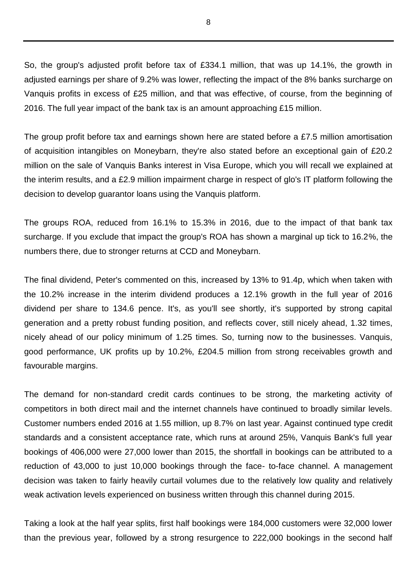So, the group's adjusted profit before tax of £334.1 million, that was up 14.1%, the growth in adjusted earnings per share of 9.2% was lower, reflecting the impact of the 8% banks surcharge on Vanquis profits in excess of £25 million, and that was effective, of course, from the beginning of 2016. The full year impact of the bank tax is an amount approaching £15 million.

The group profit before tax and earnings shown here are stated before a £7.5 million amortisation of acquisition intangibles on Moneybarn, they're also stated before an exceptional gain of £20.2 million on the sale of Vanquis Banks interest in Visa Europe, which you will recall we explained at the interim results, and a £2.9 million impairment charge in respect of glo's IT platform following the decision to develop guarantor loans using the Vanquis platform.

The groups ROA, reduced from 16.1% to 15.3% in 2016, due to the impact of that bank tax surcharge. If you exclude that impact the group's ROA has shown a marginal up tick to 16.2%, the numbers there, due to stronger returns at CCD and Moneybarn.

The final dividend, Peter's commented on this, increased by 13% to 91.4p, which when taken with the 10.2% increase in the interim dividend produces a 12.1% growth in the full year of 2016 dividend per share to 134.6 pence. It's, as you'll see shortly, it's supported by strong capital generation and a pretty robust funding position, and reflects cover, still nicely ahead, 1.32 times, nicely ahead of our policy minimum of 1.25 times. So, turning now to the businesses. Vanquis, good performance, UK profits up by 10.2%, £204.5 million from strong receivables growth and favourable margins.

The demand for non-standard credit cards continues to be strong, the marketing activity of competitors in both direct mail and the internet channels have continued to broadly similar levels. Customer numbers ended 2016 at 1.55 million, up 8.7% on last year. Against continued type credit standards and a consistent acceptance rate, which runs at around 25%, Vanquis Bank's full year bookings of 406,000 were 27,000 lower than 2015, the shortfall in bookings can be attributed to a reduction of 43,000 to just 10,000 bookings through the face- to-face channel. A management decision was taken to fairly heavily curtail volumes due to the relatively low quality and relatively weak activation levels experienced on business written through this channel during 2015.

Taking a look at the half year splits, first half bookings were 184,000 customers were 32,000 lower than the previous year, followed by a strong resurgence to 222,000 bookings in the second half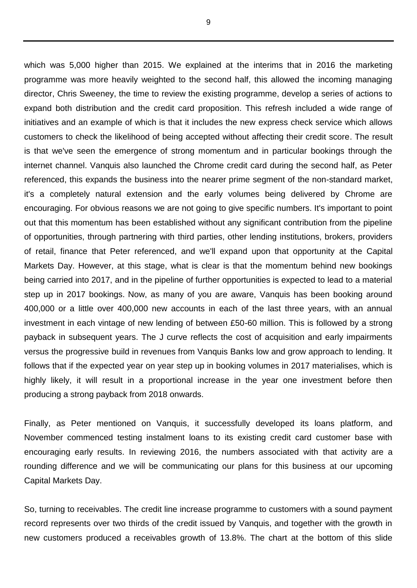which was 5,000 higher than 2015. We explained at the interims that in 2016 the marketing programme was more heavily weighted to the second half, this allowed the incoming managing director, Chris Sweeney, the time to review the existing programme, develop a series of actions to expand both distribution and the credit card proposition. This refresh included a wide range of initiatives and an example of which is that it includes the new express check service which allows customers to check the likelihood of being accepted without affecting their credit score. The result is that we've seen the emergence of strong momentum and in particular bookings through the internet channel. Vanquis also launched the Chrome credit card during the second half, as Peter referenced, this expands the business into the nearer prime segment of the non-standard market, it's a completely natural extension and the early volumes being delivered by Chrome are encouraging. For obvious reasons we are not going to give specific numbers. It's important to point out that this momentum has been established without any significant contribution from the pipeline of opportunities, through partnering with third parties, other lending institutions, brokers, providers of retail, finance that Peter referenced, and we'll expand upon that opportunity at the Capital Markets Day. However, at this stage, what is clear is that the momentum behind new bookings being carried into 2017, and in the pipeline of further opportunities is expected to lead to a material step up in 2017 bookings. Now, as many of you are aware, Vanquis has been booking around 400,000 or a little over 400,000 new accounts in each of the last three years, with an annual investment in each vintage of new lending of between £50-60 million. This is followed by a strong payback in subsequent years. The J curve reflects the cost of acquisition and early impairments versus the progressive build in revenues from Vanquis Banks low and grow approach to lending. It follows that if the expected year on year step up in booking volumes in 2017 materialises, which is highly likely, it will result in a proportional increase in the year one investment before then producing a strong payback from 2018 onwards.

Finally, as Peter mentioned on Vanquis, it successfully developed its loans platform, and November commenced testing instalment loans to its existing credit card customer base with encouraging early results. In reviewing 2016, the numbers associated with that activity are a rounding difference and we will be communicating our plans for this business at our upcoming Capital Markets Day.

So, turning to receivables. The credit line increase programme to customers with a sound payment record represents over two thirds of the credit issued by Vanquis, and together with the growth in new customers produced a receivables growth of 13.8%. The chart at the bottom of this slide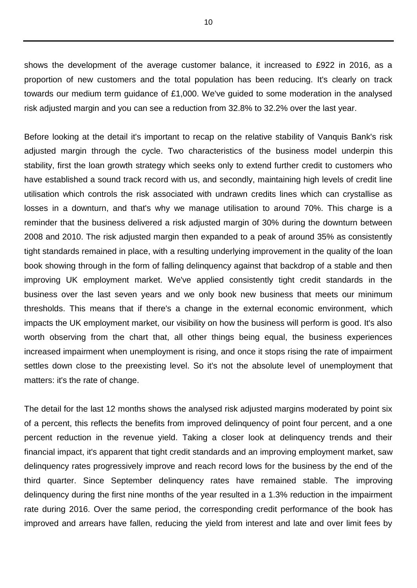shows the development of the average customer balance, it increased to £922 in 2016, as a proportion of new customers and the total population has been reducing. It's clearly on track towards our medium term guidance of £1,000. We've guided to some moderation in the analysed risk adjusted margin and you can see a reduction from 32.8% to 32.2% over the last year.

Before looking at the detail it's important to recap on the relative stability of Vanquis Bank's risk adjusted margin through the cycle. Two characteristics of the business model underpin this stability, first the loan growth strategy which seeks only to extend further credit to customers who have established a sound track record with us, and secondly, maintaining high levels of credit line utilisation which controls the risk associated with undrawn credits lines which can crystallise as losses in a downturn, and that's why we manage utilisation to around 70%. This charge is a reminder that the business delivered a risk adjusted margin of 30% during the downturn between 2008 and 2010. The risk adjusted margin then expanded to a peak of around 35% as consistently tight standards remained in place, with a resulting underlying improvement in the quality of the loan book showing through in the form of falling delinquency against that backdrop of a stable and then improving UK employment market. We've applied consistently tight credit standards in the business over the last seven years and we only book new business that meets our minimum thresholds. This means that if there's a change in the external economic environment, which impacts the UK employment market, our visibility on how the business will perform is good. It's also worth observing from the chart that, all other things being equal, the business experiences increased impairment when unemployment is rising, and once it stops rising the rate of impairment settles down close to the preexisting level. So it's not the absolute level of unemployment that matters: it's the rate of change.

The detail for the last 12 months shows the analysed risk adjusted margins moderated by point six of a percent, this reflects the benefits from improved delinquency of point four percent, and a one percent reduction in the revenue yield. Taking a closer look at delinquency trends and their financial impact, it's apparent that tight credit standards and an improving employment market, saw delinquency rates progressively improve and reach record lows for the business by the end of the third quarter. Since September delinquency rates have remained stable. The improving delinquency during the first nine months of the year resulted in a 1.3% reduction in the impairment rate during 2016. Over the same period, the corresponding credit performance of the book has improved and arrears have fallen, reducing the yield from interest and late and over limit fees by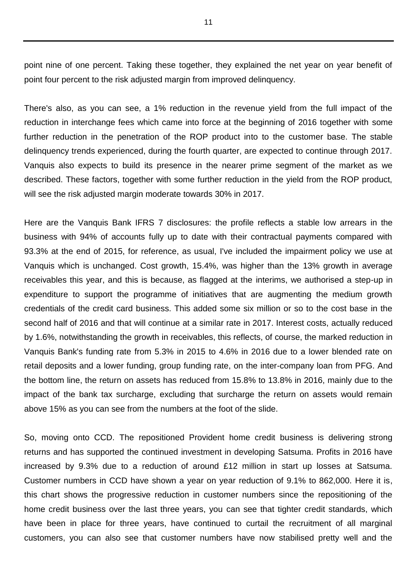point nine of one percent. Taking these together, they explained the net year on year benefit of point four percent to the risk adjusted margin from improved delinquency.

There's also, as you can see, a 1% reduction in the revenue yield from the full impact of the reduction in interchange fees which came into force at the beginning of 2016 together with some further reduction in the penetration of the ROP product into to the customer base. The stable delinquency trends experienced, during the fourth quarter, are expected to continue through 2017. Vanquis also expects to build its presence in the nearer prime segment of the market as we described. These factors, together with some further reduction in the yield from the ROP product, will see the risk adjusted margin moderate towards 30% in 2017.

Here are the Vanquis Bank IFRS 7 disclosures: the profile reflects a stable low arrears in the business with 94% of accounts fully up to date with their contractual payments compared with 93.3% at the end of 2015, for reference, as usual, I've included the impairment policy we use at Vanquis which is unchanged. Cost growth, 15.4%, was higher than the 13% growth in average receivables this year, and this is because, as flagged at the interims, we authorised a step-up in expenditure to support the programme of initiatives that are augmenting the medium growth credentials of the credit card business. This added some six million or so to the cost base in the second half of 2016 and that will continue at a similar rate in 2017. Interest costs, actually reduced by 1.6%, notwithstanding the growth in receivables, this reflects, of course, the marked reduction in Vanquis Bank's funding rate from 5.3% in 2015 to 4.6% in 2016 due to a lower blended rate on retail deposits and a lower funding, group funding rate, on the inter-company loan from PFG. And the bottom line, the return on assets has reduced from 15.8% to 13.8% in 2016, mainly due to the impact of the bank tax surcharge, excluding that surcharge the return on assets would remain above 15% as you can see from the numbers at the foot of the slide.

So, moving onto CCD. The repositioned Provident home credit business is delivering strong returns and has supported the continued investment in developing Satsuma. Profits in 2016 have increased by 9.3% due to a reduction of around £12 million in start up losses at Satsuma. Customer numbers in CCD have shown a year on year reduction of 9.1% to 862,000. Here it is, this chart shows the progressive reduction in customer numbers since the repositioning of the home credit business over the last three years, you can see that tighter credit standards, which have been in place for three years, have continued to curtail the recruitment of all marginal customers, you can also see that customer numbers have now stabilised pretty well and the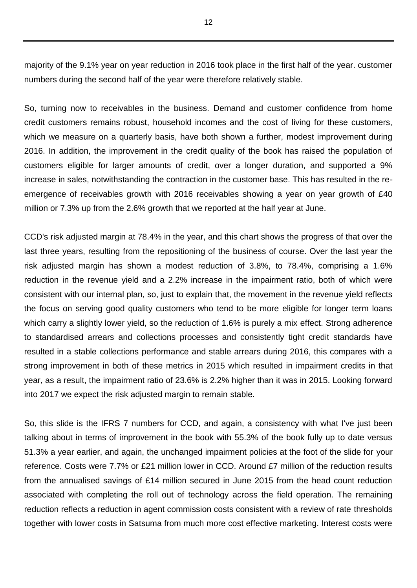majority of the 9.1% year on year reduction in 2016 took place in the first half of the year. customer numbers during the second half of the year were therefore relatively stable.

So, turning now to receivables in the business. Demand and customer confidence from home credit customers remains robust, household incomes and the cost of living for these customers, which we measure on a quarterly basis, have both shown a further, modest improvement during 2016. In addition, the improvement in the credit quality of the book has raised the population of customers eligible for larger amounts of credit, over a longer duration, and supported a 9% increase in sales, notwithstanding the contraction in the customer base. This has resulted in the reemergence of receivables growth with 2016 receivables showing a year on year growth of £40 million or 7.3% up from the 2.6% growth that we reported at the half year at June.

CCD's risk adjusted margin at 78.4% in the year, and this chart shows the progress of that over the last three years, resulting from the repositioning of the business of course. Over the last year the risk adjusted margin has shown a modest reduction of 3.8%, to 78.4%, comprising a 1.6% reduction in the revenue yield and a 2.2% increase in the impairment ratio, both of which were consistent with our internal plan, so, just to explain that, the movement in the revenue yield reflects the focus on serving good quality customers who tend to be more eligible for longer term loans which carry a slightly lower yield, so the reduction of 1.6% is purely a mix effect. Strong adherence to standardised arrears and collections processes and consistently tight credit standards have resulted in a stable collections performance and stable arrears during 2016, this compares with a strong improvement in both of these metrics in 2015 which resulted in impairment credits in that year, as a result, the impairment ratio of 23.6% is 2.2% higher than it was in 2015. Looking forward into 2017 we expect the risk adjusted margin to remain stable.

So, this slide is the IFRS 7 numbers for CCD, and again, a consistency with what I've just been talking about in terms of improvement in the book with 55.3% of the book fully up to date versus 51.3% a year earlier, and again, the unchanged impairment policies at the foot of the slide for your reference. Costs were 7.7% or £21 million lower in CCD. Around £7 million of the reduction results from the annualised savings of £14 million secured in June 2015 from the head count reduction associated with completing the roll out of technology across the field operation. The remaining reduction reflects a reduction in agent commission costs consistent with a review of rate thresholds together with lower costs in Satsuma from much more cost effective marketing. Interest costs were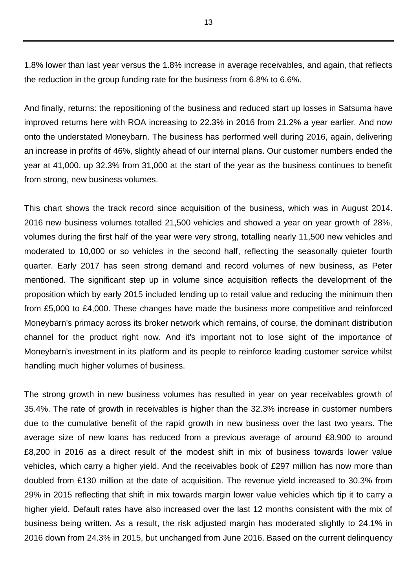1.8% lower than last year versus the 1.8% increase in average receivables, and again, that reflects the reduction in the group funding rate for the business from 6.8% to 6.6%.

And finally, returns: the repositioning of the business and reduced start up losses in Satsuma have improved returns here with ROA increasing to 22.3% in 2016 from 21.2% a year earlier. And now onto the understated Moneybarn. The business has performed well during 2016, again, delivering an increase in profits of 46%, slightly ahead of our internal plans. Our customer numbers ended the year at 41,000, up 32.3% from 31,000 at the start of the year as the business continues to benefit from strong, new business volumes.

This chart shows the track record since acquisition of the business, which was in August 2014. 2016 new business volumes totalled 21,500 vehicles and showed a year on year growth of 28%, volumes during the first half of the year were very strong, totalling nearly 11,500 new vehicles and moderated to 10,000 or so vehicles in the second half, reflecting the seasonally quieter fourth quarter. Early 2017 has seen strong demand and record volumes of new business, as Peter mentioned. The significant step up in volume since acquisition reflects the development of the proposition which by early 2015 included lending up to retail value and reducing the minimum then from £5,000 to £4,000. These changes have made the business more competitive and reinforced Moneybarn's primacy across its broker network which remains, of course, the dominant distribution channel for the product right now. And it's important not to lose sight of the importance of Moneybarn's investment in its platform and its people to reinforce leading customer service whilst handling much higher volumes of business.

The strong growth in new business volumes has resulted in year on year receivables growth of 35.4%. The rate of growth in receivables is higher than the 32.3% increase in customer numbers due to the cumulative benefit of the rapid growth in new business over the last two years. The average size of new loans has reduced from a previous average of around £8,900 to around £8,200 in 2016 as a direct result of the modest shift in mix of business towards lower value vehicles, which carry a higher yield. And the receivables book of £297 million has now more than doubled from £130 million at the date of acquisition. The revenue yield increased to 30.3% from 29% in 2015 reflecting that shift in mix towards margin lower value vehicles which tip it to carry a higher yield. Default rates have also increased over the last 12 months consistent with the mix of business being written. As a result, the risk adjusted margin has moderated slightly to 24.1% in 2016 down from 24.3% in 2015, but unchanged from June 2016. Based on the current delinquency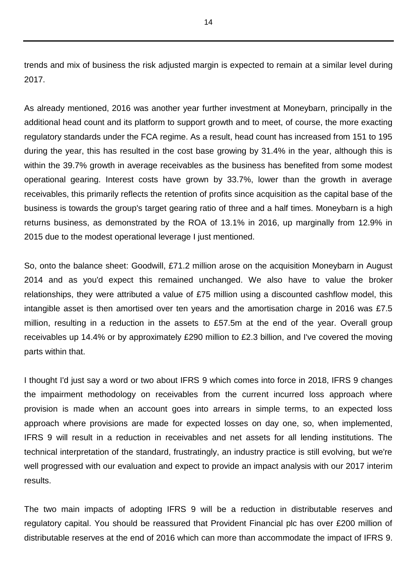trends and mix of business the risk adjusted margin is expected to remain at a similar level during 2017.

As already mentioned, 2016 was another year further investment at Moneybarn, principally in the additional head count and its platform to support growth and to meet, of course, the more exacting regulatory standards under the FCA regime. As a result, head count has increased from 151 to 195 during the year, this has resulted in the cost base growing by 31.4% in the year, although this is within the 39.7% growth in average receivables as the business has benefited from some modest operational gearing. Interest costs have grown by 33.7%, lower than the growth in average receivables, this primarily reflects the retention of profits since acquisition as the capital base of the business is towards the group's target gearing ratio of three and a half times. Moneybarn is a high returns business, as demonstrated by the ROA of 13.1% in 2016, up marginally from 12.9% in 2015 due to the modest operational leverage I just mentioned.

So, onto the balance sheet: Goodwill, £71.2 million arose on the acquisition Moneybarn in August 2014 and as you'd expect this remained unchanged. We also have to value the broker relationships, they were attributed a value of £75 million using a discounted cashflow model, this intangible asset is then amortised over ten years and the amortisation charge in 2016 was £7.5 million, resulting in a reduction in the assets to £57.5m at the end of the year. Overall group receivables up 14.4% or by approximately £290 million to £2.3 billion, and I've covered the moving parts within that.

I thought I'd just say a word or two about IFRS 9 which comes into force in 2018, IFRS 9 changes the impairment methodology on receivables from the current incurred loss approach where provision is made when an account goes into arrears in simple terms, to an expected loss approach where provisions are made for expected losses on day one, so, when implemented, IFRS 9 will result in a reduction in receivables and net assets for all lending institutions. The technical interpretation of the standard, frustratingly, an industry practice is still evolving, but we're well progressed with our evaluation and expect to provide an impact analysis with our 2017 interim results.

The two main impacts of adopting IFRS 9 will be a reduction in distributable reserves and regulatory capital. You should be reassured that Provident Financial plc has over £200 million of distributable reserves at the end of 2016 which can more than accommodate the impact of IFRS 9.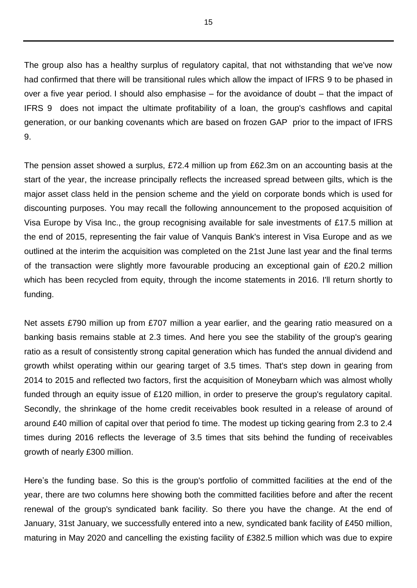The group also has a healthy surplus of regulatory capital, that not withstanding that we've now had confirmed that there will be transitional rules which allow the impact of IFRS 9 to be phased in over a five year period. I should also emphasise – for the avoidance of doubt – that the impact of IFRS 9 does not impact the ultimate profitability of a loan, the group's cashflows and capital generation, or our banking covenants which are based on frozen GAP prior to the impact of IFRS 9.

The pension asset showed a surplus, £72.4 million up from £62.3m on an accounting basis at the start of the year, the increase principally reflects the increased spread between gilts, which is the major asset class held in the pension scheme and the yield on corporate bonds which is used for discounting purposes. You may recall the following announcement to the proposed acquisition of Visa Europe by Visa Inc., the group recognising available for sale investments of £17.5 million at the end of 2015, representing the fair value of Vanquis Bank's interest in Visa Europe and as we outlined at the interim the acquisition was completed on the 21st June last year and the final terms of the transaction were slightly more favourable producing an exceptional gain of £20.2 million which has been recycled from equity, through the income statements in 2016. I'll return shortly to funding.

Net assets £790 million up from £707 million a year earlier, and the gearing ratio measured on a banking basis remains stable at 2.3 times. And here you see the stability of the group's gearing ratio as a result of consistently strong capital generation which has funded the annual dividend and growth whilst operating within our gearing target of 3.5 times. That's step down in gearing from 2014 to 2015 and reflected two factors, first the acquisition of Moneybarn which was almost wholly funded through an equity issue of £120 million, in order to preserve the group's regulatory capital. Secondly, the shrinkage of the home credit receivables book resulted in a release of around of around £40 million of capital over that period fo time. The modest up ticking gearing from 2.3 to 2.4 times during 2016 reflects the leverage of 3.5 times that sits behind the funding of receivables growth of nearly £300 million.

Here's the funding base. So this is the group's portfolio of committed facilities at the end of the year, there are two columns here showing both the committed facilities before and after the recent renewal of the group's syndicated bank facility. So there you have the change. At the end of January, 31st January, we successfully entered into a new, syndicated bank facility of £450 million, maturing in May 2020 and cancelling the existing facility of £382.5 million which was due to expire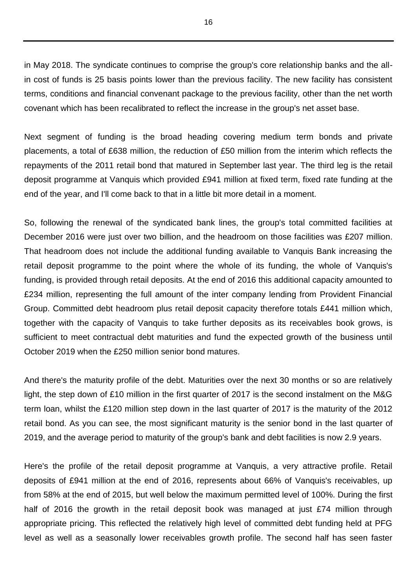in May 2018. The syndicate continues to comprise the group's core relationship banks and the allin cost of funds is 25 basis points lower than the previous facility. The new facility has consistent terms, conditions and financial convenant package to the previous facility, other than the net worth covenant which has been recalibrated to reflect the increase in the group's net asset base.

Next segment of funding is the broad heading covering medium term bonds and private placements, a total of £638 million, the reduction of £50 million from the interim which reflects the repayments of the 2011 retail bond that matured in September last year. The third leg is the retail deposit programme at Vanquis which provided £941 million at fixed term, fixed rate funding at the end of the year, and I'll come back to that in a little bit more detail in a moment.

So, following the renewal of the syndicated bank lines, the group's total committed facilities at December 2016 were just over two billion, and the headroom on those facilities was £207 million. That headroom does not include the additional funding available to Vanquis Bank increasing the retail deposit programme to the point where the whole of its funding, the whole of Vanquis's funding, is provided through retail deposits. At the end of 2016 this additional capacity amounted to £234 million, representing the full amount of the inter company lending from Provident Financial Group. Committed debt headroom plus retail deposit capacity therefore totals £441 million which, together with the capacity of Vanquis to take further deposits as its receivables book grows, is sufficient to meet contractual debt maturities and fund the expected growth of the business until October 2019 when the £250 million senior bond matures.

And there's the maturity profile of the debt. Maturities over the next 30 months or so are relatively light, the step down of £10 million in the first quarter of 2017 is the second instalment on the M&G term loan, whilst the £120 million step down in the last quarter of 2017 is the maturity of the 2012 retail bond. As you can see, the most significant maturity is the senior bond in the last quarter of 2019, and the average period to maturity of the group's bank and debt facilities is now 2.9 years.

Here's the profile of the retail deposit programme at Vanquis, a very attractive profile. Retail deposits of £941 million at the end of 2016, represents about 66% of Vanquis's receivables, up from 58% at the end of 2015, but well below the maximum permitted level of 100%. During the first half of 2016 the growth in the retail deposit book was managed at just £74 million through appropriate pricing. This reflected the relatively high level of committed debt funding held at PFG level as well as a seasonally lower receivables growth profile. The second half has seen faster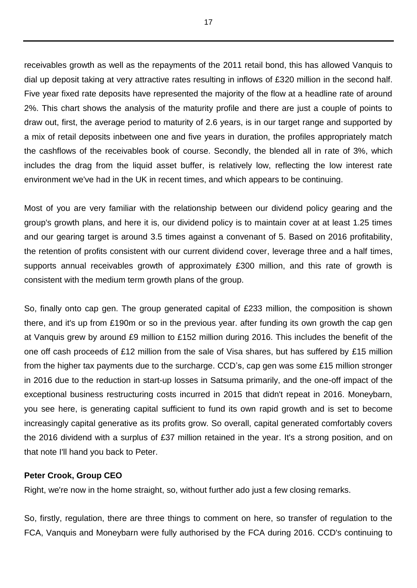receivables growth as well as the repayments of the 2011 retail bond, this has allowed Vanquis to dial up deposit taking at very attractive rates resulting in inflows of £320 million in the second half. Five year fixed rate deposits have represented the majority of the flow at a headline rate of around 2%. This chart shows the analysis of the maturity profile and there are just a couple of points to draw out, first, the average period to maturity of 2.6 years, is in our target range and supported by a mix of retail deposits inbetween one and five years in duration, the profiles appropriately match the cashflows of the receivables book of course. Secondly, the blended all in rate of 3%, which includes the drag from the liquid asset buffer, is relatively low, reflecting the low interest rate environment we've had in the UK in recent times, and which appears to be continuing.

Most of you are very familiar with the relationship between our dividend policy gearing and the group's growth plans, and here it is, our dividend policy is to maintain cover at at least 1.25 times and our gearing target is around 3.5 times against a convenant of 5. Based on 2016 profitability, the retention of profits consistent with our current dividend cover, leverage three and a half times, supports annual receivables growth of approximately £300 million, and this rate of growth is consistent with the medium term growth plans of the group.

So, finally onto cap gen. The group generated capital of £233 million, the composition is shown there, and it's up from £190m or so in the previous year. after funding its own growth the cap gen at Vanquis grew by around £9 million to £152 million during 2016. This includes the benefit of the one off cash proceeds of £12 million from the sale of Visa shares, but has suffered by £15 million from the higher tax payments due to the surcharge. CCD's, cap gen was some £15 million stronger in 2016 due to the reduction in start-up losses in Satsuma primarily, and the one-off impact of the exceptional business restructuring costs incurred in 2015 that didn't repeat in 2016. Moneybarn, you see here, is generating capital sufficient to fund its own rapid growth and is set to become increasingly capital generative as its profits grow. So overall, capital generated comfortably covers the 2016 dividend with a surplus of £37 million retained in the year. It's a strong position, and on that note I'll hand you back to Peter.

### **Peter Crook, Group CEO**

Right, we're now in the home straight, so, without further ado just a few closing remarks.

So, firstly, regulation, there are three things to comment on here, so transfer of regulation to the FCA, Vanquis and Moneybarn were fully authorised by the FCA during 2016. CCD's continuing to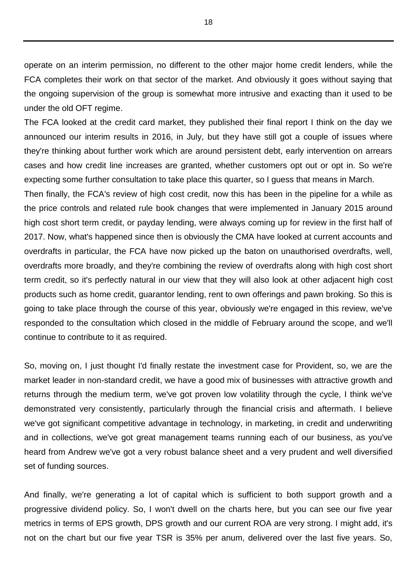operate on an interim permission, no different to the other major home credit lenders, while the FCA completes their work on that sector of the market. And obviously it goes without saying that the ongoing supervision of the group is somewhat more intrusive and exacting than it used to be under the old OFT regime.

The FCA looked at the credit card market, they published their final report I think on the day we announced our interim results in 2016, in July, but they have still got a couple of issues where they're thinking about further work which are around persistent debt, early intervention on arrears cases and how credit line increases are granted, whether customers opt out or opt in. So we're expecting some further consultation to take place this quarter, so I guess that means in March.

Then finally, the FCA's review of high cost credit, now this has been in the pipeline for a while as the price controls and related rule book changes that were implemented in January 2015 around high cost short term credit, or payday lending, were always coming up for review in the first half of 2017. Now, what's happened since then is obviously the CMA have looked at current accounts and overdrafts in particular, the FCA have now picked up the baton on unauthorised overdrafts, well, overdrafts more broadly, and they're combining the review of overdrafts along with high cost short term credit, so it's perfectly natural in our view that they will also look at other adjacent high cost products such as home credit, guarantor lending, rent to own offerings and pawn broking. So this is going to take place through the course of this year, obviously we're engaged in this review, we've responded to the consultation which closed in the middle of February around the scope, and we'll continue to contribute to it as required.

So, moving on, I just thought I'd finally restate the investment case for Provident, so, we are the market leader in non-standard credit, we have a good mix of businesses with attractive growth and returns through the medium term, we've got proven low volatility through the cycle, I think we've demonstrated very consistently, particularly through the financial crisis and aftermath. I believe we've got significant competitive advantage in technology, in marketing, in credit and underwriting and in collections, we've got great management teams running each of our business, as you've heard from Andrew we've got a very robust balance sheet and a very prudent and well diversified set of funding sources.

And finally, we're generating a lot of capital which is sufficient to both support growth and a progressive dividend policy. So, I won't dwell on the charts here, but you can see our five year metrics in terms of EPS growth, DPS growth and our current ROA are very strong. I might add, it's not on the chart but our five year TSR is 35% per anum, delivered over the last five years. So,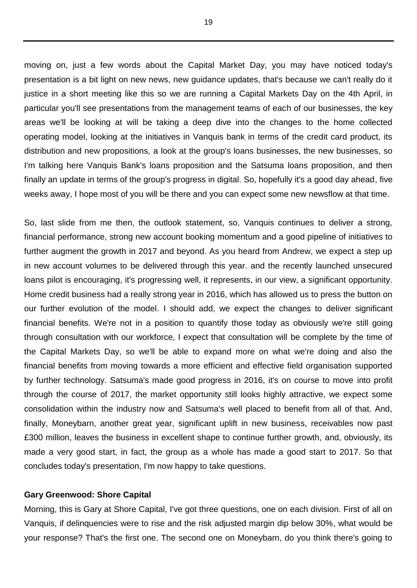moving on, just a few words about the Capital Market Day, you may have noticed today's presentation is a bit light on new news, new guidance updates, that's because we can't really do it justice in a short meeting like this so we are running a Capital Markets Day on the 4th April, in particular you'll see presentations from the management teams of each of our businesses, the key areas we'll be looking at will be taking a deep dive into the changes to the home collected operating model, looking at the initiatives in Vanquis bank in terms of the credit card product, its distribution and new propositions, a look at the group's loans businesses, the new businesses, so I'm talking here Vanquis Bank's loans proposition and the Satsuma loans proposition, and then finally an update in terms of the group's progress in digital. So, hopefully it's a good day ahead, five weeks away, I hope most of you will be there and you can expect some new newsflow at that time.

So, last slide from me then, the outlook statement, so, Vanquis continues to deliver a strong, financial performance, strong new account booking momentum and a good pipeline of initiatives to further augment the growth in 2017 and beyond. As you heard from Andrew, we expect a step up in new account volumes to be delivered through this year. and the recently launched unsecured loans pilot is encouraging, it's progressing well, it represents, in our view, a significant opportunity. Home credit business had a really strong year in 2016, which has allowed us to press the button on our further evolution of the model. I should add, we expect the changes to deliver significant financial benefits. We're not in a position to quantify those today as obviously we're still going through consultation with our workforce, I expect that consultation will be complete by the time of the Capital Markets Day, so we'll be able to expand more on what we're doing and also the financial benefits from moving towards a more efficient and effective field organisation supported by further technology. Satsuma's made good progress in 2016, it's on course to move into profit through the course of 2017, the market opportunity still looks highly attractive, we expect some consolidation within the industry now and Satsuma's well placed to benefit from all of that. And, finally, Moneybarn, another great year, significant uplift in new business, receivables now past £300 million, leaves the business in excellent shape to continue further growth, and, obviously, its made a very good start, in fact, the group as a whole has made a good start to 2017. So that concludes today's presentation, I'm now happy to take questions.

### **Gary Greenwood: Shore Capital**

Morning, this is Gary at Shore Capital, I've got three questions, one on each division. First of all on Vanquis, if delinquencies were to rise and the risk adjusted margin dip below 30%, what would be your response? That's the first one. The second one on Moneybarn, do you think there's going to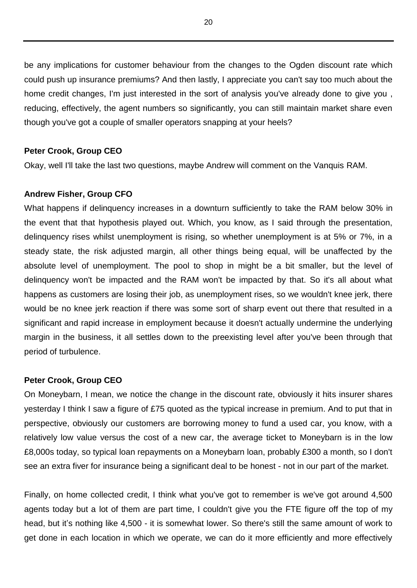be any implications for customer behaviour from the changes to the Ogden discount rate which could push up insurance premiums? And then lastly, I appreciate you can't say too much about the home credit changes, I'm just interested in the sort of analysis you've already done to give you , reducing, effectively, the agent numbers so significantly, you can still maintain market share even though you've got a couple of smaller operators snapping at your heels?

### **Peter Crook, Group CEO**

Okay, well I'll take the last two questions, maybe Andrew will comment on the Vanquis RAM.

### **Andrew Fisher, Group CFO**

What happens if delinquency increases in a downturn sufficiently to take the RAM below 30% in the event that that hypothesis played out. Which, you know, as I said through the presentation, delinquency rises whilst unemployment is rising, so whether unemployment is at 5% or 7%, in a steady state, the risk adjusted margin, all other things being equal, will be unaffected by the absolute level of unemployment. The pool to shop in might be a bit smaller, but the level of delinquency won't be impacted and the RAM won't be impacted by that. So it's all about what happens as customers are losing their job, as unemployment rises, so we wouldn't knee jerk, there would be no knee jerk reaction if there was some sort of sharp event out there that resulted in a significant and rapid increase in employment because it doesn't actually undermine the underlying margin in the business, it all settles down to the preexisting level after you've been through that period of turbulence.

## **Peter Crook, Group CEO**

On Moneybarn, I mean, we notice the change in the discount rate, obviously it hits insurer shares yesterday I think I saw a figure of £75 quoted as the typical increase in premium. And to put that in perspective, obviously our customers are borrowing money to fund a used car, you know, with a relatively low value versus the cost of a new car, the average ticket to Moneybarn is in the low £8,000s today, so typical loan repayments on a Moneybarn loan, probably £300 a month, so I don't see an extra fiver for insurance being a significant deal to be honest - not in our part of the market.

Finally, on home collected credit, I think what you've got to remember is we've got around 4,500 agents today but a lot of them are part time, I couldn't give you the FTE figure off the top of my head, but it's nothing like 4,500 - it is somewhat lower. So there's still the same amount of work to get done in each location in which we operate, we can do it more efficiently and more effectively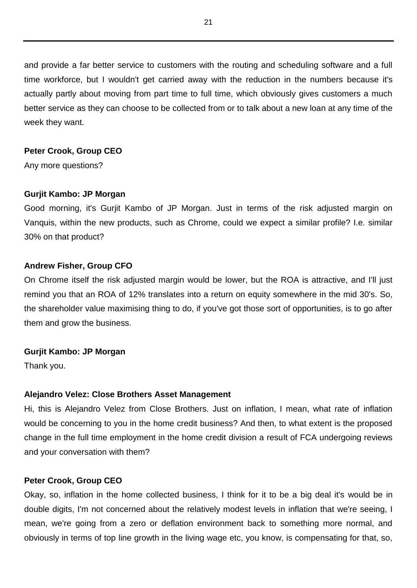and provide a far better service to customers with the routing and scheduling software and a full time workforce, but I wouldn't get carried away with the reduction in the numbers because it's actually partly about moving from part time to full time, which obviously gives customers a much better service as they can choose to be collected from or to talk about a new loan at any time of the week they want.

### **Peter Crook, Group CEO**

Any more questions?

### **Gurjit Kambo: JP Morgan**

Good morning, it's Gurjit Kambo of JP Morgan. Just in terms of the risk adjusted margin on Vanquis, within the new products, such as Chrome, could we expect a similar profile? I.e. similar 30% on that product?

# **Andrew Fisher, Group CFO**

On Chrome itself the risk adjusted margin would be lower, but the ROA is attractive, and I'll just remind you that an ROA of 12% translates into a return on equity somewhere in the mid 30's. So, the shareholder value maximising thing to do, if you've got those sort of opportunities, is to go after them and grow the business.

### **Gurjit Kambo: JP Morgan**

Thank you.

### **Alejandro Velez: Close Brothers Asset Management**

Hi, this is Alejandro Velez from Close Brothers. Just on inflation, I mean, what rate of inflation would be concerning to you in the home credit business? And then, to what extent is the proposed change in the full time employment in the home credit division a result of FCA undergoing reviews and your conversation with them?

### **Peter Crook, Group CEO**

Okay, so, inflation in the home collected business, I think for it to be a big deal it's would be in double digits, I'm not concerned about the relatively modest levels in inflation that we're seeing, I mean, we're going from a zero or deflation environment back to something more normal, and obviously in terms of top line growth in the living wage etc, you know, is compensating for that, so,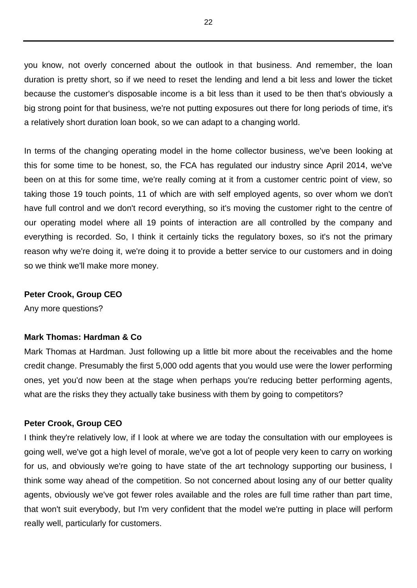you know, not overly concerned about the outlook in that business. And remember, the loan duration is pretty short, so if we need to reset the lending and lend a bit less and lower the ticket because the customer's disposable income is a bit less than it used to be then that's obviously a big strong point for that business, we're not putting exposures out there for long periods of time, it's a relatively short duration loan book, so we can adapt to a changing world.

In terms of the changing operating model in the home collector business, we've been looking at this for some time to be honest, so, the FCA has regulated our industry since April 2014, we've been on at this for some time, we're really coming at it from a customer centric point of view, so taking those 19 touch points, 11 of which are with self employed agents, so over whom we don't have full control and we don't record everything, so it's moving the customer right to the centre of our operating model where all 19 points of interaction are all controlled by the company and everything is recorded. So, I think it certainly ticks the regulatory boxes, so it's not the primary reason why we're doing it, we're doing it to provide a better service to our customers and in doing so we think we'll make more money.

#### **Peter Crook, Group CEO**

Any more questions?

### **Mark Thomas: Hardman & Co**

Mark Thomas at Hardman. Just following up a little bit more about the receivables and the home credit change. Presumably the first 5,000 odd agents that you would use were the lower performing ones, yet you'd now been at the stage when perhaps you're reducing better performing agents, what are the risks they they actually take business with them by going to competitors?

#### **Peter Crook, Group CEO**

I think they're relatively low, if I look at where we are today the consultation with our employees is going well, we've got a high level of morale, we've got a lot of people very keen to carry on working for us, and obviously we're going to have state of the art technology supporting our business, I think some way ahead of the competition. So not concerned about losing any of our better quality agents, obviously we've got fewer roles available and the roles are full time rather than part time, that won't suit everybody, but I'm very confident that the model we're putting in place will perform really well, particularly for customers.